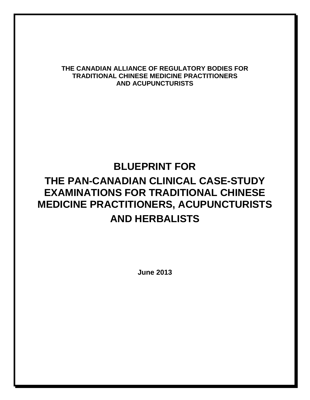## **THE CANADIAN ALLIANCE OF REGULATORY BODIES FOR TRADITIONAL CHINESE MEDICINE PRACTITIONERS AND ACUPUNCTURISTS**

# **BLUEPRINT FOR**

# **THE PAN-CANADIAN CLINICAL CASE-STUDY EXAMINATIONS FOR TRADITIONAL CHINESE MEDICINE PRACTITIONERS, ACUPUNCTURISTS AND HERBALISTS**

**June 2013**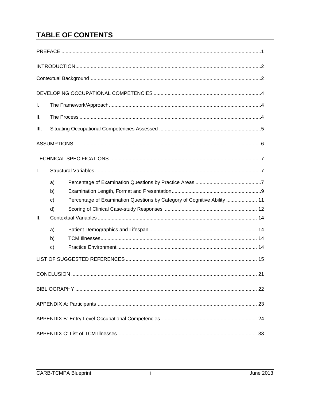## **TABLE OF CONTENTS**

| I.   |              |                                                                          |  |  |  |
|------|--------------|--------------------------------------------------------------------------|--|--|--|
| Ш.   |              |                                                                          |  |  |  |
| III. |              |                                                                          |  |  |  |
|      |              |                                                                          |  |  |  |
|      |              |                                                                          |  |  |  |
| Ι.   |              |                                                                          |  |  |  |
|      | a)           |                                                                          |  |  |  |
|      | b)           |                                                                          |  |  |  |
|      | $\mathbf{C}$ | Percentage of Examination Questions by Category of Cognitive Ability  11 |  |  |  |
|      | d)           |                                                                          |  |  |  |
| II.  |              |                                                                          |  |  |  |
|      | a)           |                                                                          |  |  |  |
|      | b)           |                                                                          |  |  |  |
|      | $\mathbf{C}$ |                                                                          |  |  |  |
|      |              |                                                                          |  |  |  |
|      |              | 21                                                                       |  |  |  |
|      |              |                                                                          |  |  |  |
|      |              |                                                                          |  |  |  |
|      |              |                                                                          |  |  |  |
|      |              |                                                                          |  |  |  |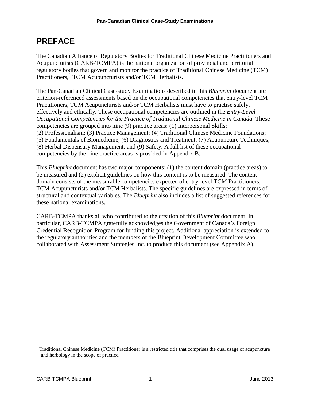# <span id="page-4-0"></span>**PREFACE**

The Canadian Alliance of Regulatory Bodies for Traditional Chinese Medicine Practitioners and Acupuncturists (CARB-TCMPA) is the national organization of provincial and territorial regulatory bodies that govern and monitor the practice of Traditional Chinese Medicine (TCM) Practitioners,<sup>[1](#page-4-1)</sup> TCM Acupuncturists and/or TCM Herbalists.

The Pan-Canadian Clinical Case-study Examinations described in this *Blueprint* document are criterion-referenced assessments based on the occupational competencies that entry-level TCM Practitioners, TCM Acupuncturists and/or TCM Herbalists must have to practise safely, effectively and ethically. These occupational competencies are outlined in the *Entry-Level Occupational Competencies for the Practice of Traditional Chinese Medicine in Canada. These* competencies are grouped into nine (9) practice areas: (1) Interpersonal Skills; (2) Professionalism; (3) Practice Management; (4) Traditional Chinese Medicine Foundations; (5) Fundamentals of Biomedicine; (6) Diagnostics and Treatment; (7) Acupuncture Techniques; (8) Herbal Dispensary Management; and (9) Safety. A full list of these occupational competencies by the nine practice areas is provided in Appendix B.

This *Blueprint* document has two major components: (1) the content domain (practice areas) to be measured and (2) explicit guidelines on how this content is to be measured. The content domain consists of the measurable competencies expected of entry-level TCM Practitioners, TCM Acupuncturists and/or TCM Herbalists. The specific guidelines are expressed in terms of structural and contextual variables. The *Blueprint* also includes a list of suggested references for these national examinations.

CARB-TCMPA thanks all who contributed to the creation of this *Blueprint* document. In particular, CARB-TCMPA gratefully acknowledges the Government of Canada's Foreign Credential Recognition Program for funding this project. Additional appreciation is extended to the regulatory authorities and the members of the Blueprint Development Committee who collaborated with Assessment Strategies Inc. to produce this document (see Appendix A).

 $\overline{a}$ 

<span id="page-4-1"></span> $1$  Traditional Chinese Medicine (TCM) Practitioner is a restricted title that comprises the dual usage of acupuncture and herbology in the scope of practice.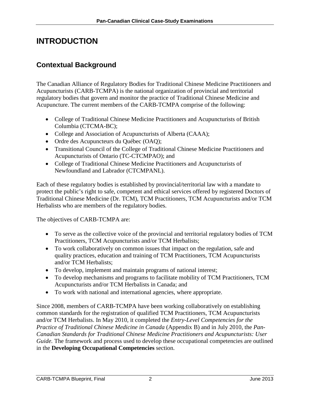# <span id="page-5-0"></span>**INTRODUCTION**

## <span id="page-5-1"></span>**Contextual Background**

The Canadian Alliance of Regulatory Bodies for Traditional Chinese Medicine Practitioners and Acupuncturists (CARB-TCMPA) is the national organization of provincial and territorial regulatory bodies that govern and monitor the practice of Traditional Chinese Medicine and Acupuncture. The current members of the CARB-TCMPA comprise of the following:

- College of Traditional Chinese Medicine Practitioners and Acupuncturists of British Columbia (CTCMA-BC);
- College and Association of Acupuncturists of Alberta (CAAA);
- Ordre des Acupuncteurs du Québec (OAQ);
- Transitional Council of the College of Traditional Chinese Medicine Practitioners and Acupuncturists of Ontario (TC-CTCMPAO); and
- College of Traditional Chinese Medicine Practitioners and Acupuncturists of Newfoundland and Labrador (CTCMPANL).

Each of these regulatory bodies is established by provincial/territorial law with a mandate to protect the public's right to safe, competent and ethical services offered by registered Doctors of Traditional Chinese Medicine (Dr. TCM), TCM Practitioners, TCM Acupuncturists and/or TCM Herbalists who are members of the regulatory bodies.

The objectives of CARB-TCMPA are:

- To serve as the collective voice of the provincial and territorial regulatory bodies of TCM Practitioners, TCM Acupuncturists and/or TCM Herbalists;
- To work collaboratively on common issues that impact on the regulation, safe and quality practices, education and training of TCM Practitioners, TCM Acupuncturists and/or TCM Herbalists;
- To develop, implement and maintain programs of national interest;
- To develop mechanisms and programs to facilitate mobility of TCM Practitioners, TCM Acupuncturists and/or TCM Herbalists in Canada; and
- To work with national and international agencies, where appropriate.

Since 2008, members of CARB-TCMPA have been working collaboratively on establishing common standards for the registration of qualified TCM Practitioners, TCM Acupuncturists and/or TCM Herbalists. In May 2010, it completed the *Entry-Level Competencies for the Practice of Traditional Chinese Medicine in Canada* (Appendix B) and in July 2010, the *Pan-Canadian Standards for Traditional Chinese Medicine Practitioners and Acupuncturists: User Guide*. The framework and process used to develop these occupational competencies are outlined in the **Developing Occupational Competencies** section.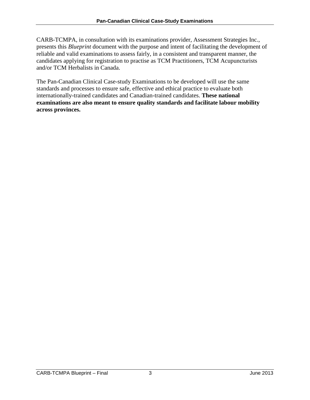CARB-TCMPA, in consultation with its examinations provider, Assessment Strategies Inc., presents this *Blueprint* document with the purpose and intent of facilitating the development of reliable and valid examinations to assess fairly, in a consistent and transparent manner, the candidates applying for registration to practise as TCM Practitioners, TCM Acupuncturists and/or TCM Herbalists in Canada.

The Pan-Canadian Clinical Case-study Examinations to be developed will use the same standards and processes to ensure safe, effective and ethical practice to evaluate both internationally-trained candidates and Canadian-trained candidates. **These national examinations are also meant to ensure quality standards and facilitate labour mobility across provinces.**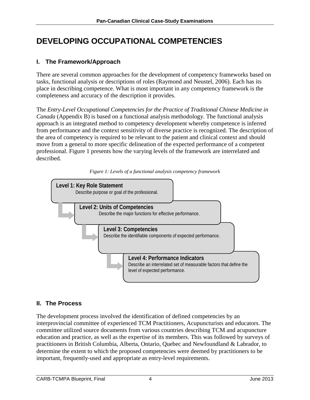# <span id="page-7-0"></span>**DEVELOPING OCCUPATIONAL COMPETENCIES**

## <span id="page-7-1"></span>**I. The Framework/Approach**

There are several common approaches for the development of competency frameworks based on tasks, functional analysis or descriptions of roles (Raymond and Neustel, 2006). Each has its place in describing competence. What is most important in any competency framework is the completeness and accuracy of the description it provides.

The *Entry-Level Occupational Competencies for the Practice of Traditional Chinese Medicine in Canada* (Appendix B) is based on a functional analysis methodology. The functional analysis approach is an integrated method to competency development whereby competence is inferred from performance and the context sensitivity of diverse practice is recognized. The description of the area of competency is required to be relevant to the patient and clinical context and should move from a general to more specific delineation of the expected performance of a competent professional. Figure 1 presents how the varying levels of the framework are interrelated and described.





## <span id="page-7-2"></span>**II. The Process**

The development process involved the identification of defined competencies by an interprovincial committee of experienced TCM Practitioners, Acupuncturists and educators. The committee utilized source documents from various countries describing TCM and acupuncture education and practice, as well as the expertise of its members. This was followed by surveys of practitioners in British Columbia, Alberta, Ontario, Quebec and Newfoundland & Labrador, to determine the extent to which the proposed competencies were deemed by practitioners to be important, frequently-used and appropriate as entry-level requirements.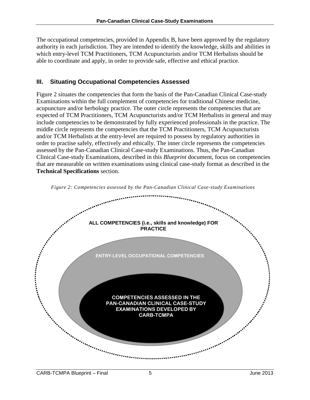The occupational competencies, provided in Appendix B, have been approved by the regulatory authority in each jurisdiction. They are intended to identify the knowledge, skills and abilities in which entry-level TCM Practitioners, TCM Acupuncturists and/or TCM Herbalists should be able to coordinate and apply, in order to provide safe, effective and ethical practice.

## <span id="page-8-0"></span>**III. Situating Occupational Competencies Assessed**

Figure 2 situates the competencies that form the basis of the Pan-Canadian Clinical Case-study Examinations within the full complement of competencies for traditional Chinese medicine, acupuncture and/or herbology practice. The outer circle represents the competencies that are expected of TCM Practitioners, TCM Acupuncturists and/or TCM Herbalists in general and may include competencies to be demonstrated by fully experienced professionals in the practice. The middle circle represents the competencies that the TCM Practitioners, TCM Acupuncturists and/or TCM Herbalists at the entry-level are required to possess by regulatory authorities in order to practise safely, effectively and ethically. The inner circle represents the competencies assessed by the Pan-Canadian Clinical Case-study Examinations. Thus, the Pan-Canadian Clinical Case-study Examinations, described in this *Blueprint* document, focus on competencies that are measurable on written examinations using clinical case-study format as described in the **Technical Specifications** section.



*Figure 2: Competencies assessed by the Pan-Canadian Clinical Case-study Examinations*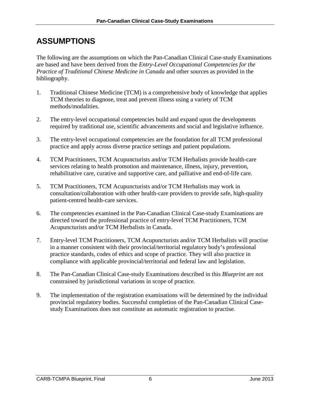# <span id="page-9-0"></span>**ASSUMPTIONS**

The following are the assumptions on which the Pan-Canadian Clinical Case-study Examinations are based and have been derived from the *Entry-Level Occupational Competencies for the Practice of Traditional Chinese Medicine in Canada* and other sources as provided in the bibliography.

- 1. Traditional Chinese Medicine (TCM) is a comprehensive body of knowledge that applies TCM theories to diagnose, treat and prevent illness using a variety of TCM methods/modalities.
- 2. The entry-level occupational competencies build and expand upon the developments required by traditional use, scientific advancements and social and legislative influence.
- 3. The entry-level occupational competencies are the foundation for all TCM professional practice and apply across diverse practice settings and patient populations.
- 4. TCM Practitioners, TCM Acupuncturists and/or TCM Herbalists provide health-care services relating to health promotion and maintenance, illness, injury, prevention, rehabilitative care, curative and supportive care, and palliative and end-of-life care.
- 5. TCM Practitioners, TCM Acupuncturists and/or TCM Herbalists may work in consultation/collaboration with other health-care providers to provide safe, high-quality patient-centred health-care services.
- 6. The competencies examined in the Pan-Canadian Clinical Case-study Examinations are directed toward the professional practice of entry-level TCM Practitioners, TCM Acupuncturists and/or TCM Herbalists in Canada.
- 7. Entry-level TCM Practitioners, TCM Acupuncturists and/or TCM Herbalists will practise in a manner consistent with their provincial/territorial regulatory body's professional practice standards, codes of ethics and scope of practice. They will also practice in compliance with applicable provincial/territorial and federal law and legislation.
- 8. The Pan-Canadian Clinical Case-study Examinations described in this *Blueprint* are not constrained by jurisdictional variations in scope of practice.
- 9. The implementation of the registration examinations will be determined by the individual provincial regulatory bodies. Successful completion of the Pan-Canadian Clinical Casestudy Examinations does not constitute an automatic registration to practise.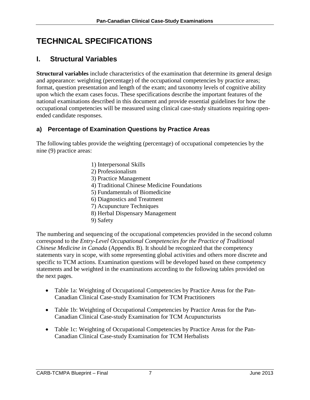# <span id="page-10-0"></span>**TECHNICAL SPECIFICATIONS**

## <span id="page-10-1"></span>**I. Structural Variables**

**Structural variables** include characteristics of the examination that determine its general design and appearance: weighting (percentage) of the occupational competencies by practice areas; format, question presentation and length of the exam; and taxonomy levels of cognitive ability upon which the exam cases focus. These specifications describe the important features of the national examinations described in this document and provide essential guidelines for how the occupational competencies will be measured using clinical case-study situations requiring openended candidate responses.

## <span id="page-10-2"></span>**a) Percentage of Examination Questions by Practice Areas**

The following tables provide the weighting (percentage) of occupational competencies by the nine (9) practice areas:

- 1) Interpersonal Skills
- 2) Professionalism
- 3) Practice Management
- 4) Traditional Chinese Medicine Foundations
- 5) Fundamentals of Biomedicine
- 6) Diagnostics and Treatment
- 7) Acupuncture Techniques
- 8) Herbal Dispensary Management
- 9) Safety

The numbering and sequencing of the occupational competencies provided in the second column correspond to the *Entry-Level Occupational Competencies for the Practice of Traditional Chinese Medicine in Canada* (Appendix B). It should be recognized that the competency statements vary in scope, with some representing global activities and others more discrete and specific to TCM actions. Examination questions will be developed based on these competency statements and be weighted in the examinations according to the following tables provided on the next pages.

- Table 1a: Weighting of Occupational Competencies by Practice Areas for the Pan-Canadian Clinical Case-study Examination for TCM Practitioners
- Table 1b: Weighting of Occupational Competencies by Practice Areas for the Pan-Canadian Clinical Case-study Examination for TCM Acupuncturists
- Table 1c: Weighting of Occupational Competencies by Practice Areas for the Pan-Canadian Clinical Case-study Examination for TCM Herbalists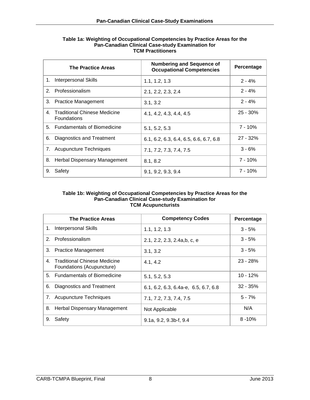|    | <b>The Practice Areas</b>                             | <b>Numbering and Sequence of</b><br><b>Occupational Competencies</b> | Percentage |
|----|-------------------------------------------------------|----------------------------------------------------------------------|------------|
| 1. | Interpersonal Skills                                  | 1.1, 1.2, 1.3                                                        | $2 - 4%$   |
|    | 2. Professionalism                                    | 2.1, 2.2, 2.3, 2.4                                                   | $2 - 4%$   |
| 3. | <b>Practice Management</b>                            | 3.1, 3.2                                                             | $2 - 4%$   |
|    | 4. Traditional Chinese Medicine<br><b>Foundations</b> | 4.1, 4.2, 4.3, 4.4, 4.5                                              | $25 - 30%$ |
|    | 5. Fundamentals of Biomedicine                        | 5.1, 5.2, 5.3                                                        | $7 - 10%$  |
| 6. | Diagnostics and Treatment                             | 6.1, 6.2, 6.3, 6.4, 6.5, 6.6, 6.7, 6.8                               | $27 - 32%$ |
| 7. | Acupuncture Techniques                                | 7.1, 7.2, 7.3, 7.4, 7.5                                              | $3 - 6%$   |
| 8. | Herbal Dispensary Management                          | 8.1, 8.2                                                             | $7 - 10%$  |
| 9. | Safety                                                | 9.1, 9.2, 9.3, 9.4                                                   | 7 - 10%    |

#### **Table 1a: Weighting of Occupational Competencies by Practice Areas for the Pan-Canadian Clinical Case-study Examination for TCM Practitioners**

#### **Table 1b: Weighting of Occupational Competencies by Practice Areas for the Pan-Canadian Clinical Case-study Examination for TCM Acupuncturists**

|             | <b>The Practice Areas</b>                                 | <b>Competency Codes</b>                | Percentage |
|-------------|-----------------------------------------------------------|----------------------------------------|------------|
| $1_{\cdot}$ | <b>Interpersonal Skills</b>                               | 1.1, 1.2, 1.3                          | $3 - 5%$   |
|             | 2. Professionalism                                        | 2.1, 2.2, 2.3, 2.4a,b, c, e            | $3 - 5%$   |
| 3.          | <b>Practice Management</b>                                | 3.1, 3.2                               | $3 - 5%$   |
| $4_{-}$     | Traditional Chinese Medicine<br>Foundations (Acupuncture) | 4.1, 4.2                               | $23 - 28%$ |
|             | 5. Fundamentals of Biomedicine                            | 5.1, 5.2, 5.3                          | $10 - 12%$ |
| 6.          | Diagnostics and Treatment                                 | $6.1, 6.2, 6.3, 6.4a-e, 6.5, 6.7, 6.8$ | $32 - 35%$ |
| 7.          | <b>Acupuncture Techniques</b>                             | 7.1, 7.2, 7.3, 7.4, 7.5                | $5 - 7%$   |
| 8.          | Herbal Dispensary Management                              | Not Applicable                         | N/A        |
| 9.          | Safety                                                    | $9.1a, 9.2, 9.3b-f, 9.4$               | $8 - 10%$  |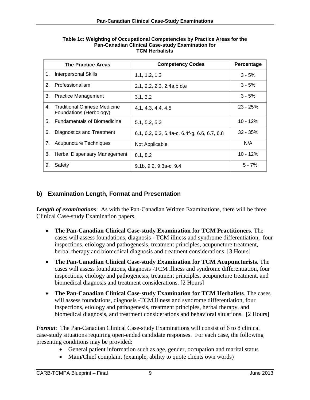|                | <b>The Practice Areas</b>                               | <b>Competency Codes</b>                        | Percentage |
|----------------|---------------------------------------------------------|------------------------------------------------|------------|
| 1.             | <b>Interpersonal Skills</b>                             | 1.1, 1.2, 1.3                                  | $3 - 5%$   |
| 2 <sub>1</sub> | Professionalism                                         | 2.1, 2.2, 2.3, 2.4a, b, d, e                   | $3 - 5%$   |
| 3.             | <b>Practice Management</b>                              | 3.1, 3.2                                       | $3 - 5%$   |
| $4_{-}$        | Traditional Chinese Medicine<br>Foundations (Herbology) | 4.1, 4.3, 4.4, 4.5                             | $23 - 25%$ |
| 5.             | <b>Fundamentals of Biomedicine</b>                      | 5.1, 5.2, 5.3                                  | $10 - 12%$ |
| 6.             | Diagnostics and Treatment                               | $6.1, 6.2, 6.3, 6.4a-c, 6.4f-g, 6.6, 6.7, 6.8$ | $32 - 35%$ |
| 7.             | Acupuncture Techniques                                  | Not Applicable                                 | N/A        |
| 8.             | Herbal Dispensary Management                            | 8.1, 8.2                                       | 10 - 12%   |
| 9.             | Safety                                                  | 9.1b, 9.2, 9.3a-c, 9.4                         | $5 - 7%$   |

#### **Table 1c: Weighting of Occupational Competencies by Practice Areas for the Pan-Canadian Clinical Case-study Examination for TCM Herbalists**

## <span id="page-12-0"></span>**b) Examination Length, Format and Presentation**

*Length of examinations*: As with the Pan-Canadian Written Examinations, there will be three Clinical Case-study Examination papers.

- **The Pan-Canadian Clinical Case-study Examination for TCM Practitioners**. The cases will assess foundations, diagnosis - TCM illness and syndrome differentiation, four inspections, etiology and pathogenesis, treatment principles, acupuncture treatment, herbal therapy and biomedical diagnosis and treatment considerations. [3 Hours]
- **The Pan-Canadian Clinical Case-study Examination for TCM Acupuncturists**. The cases will assess foundations, diagnosis -TCM illness and syndrome differentiation, four inspections, etiology and pathogenesis, treatment principles, acupuncture treatment, and biomedical diagnosis and treatment considerations. [2 Hours]
- **The Pan-Canadian Clinical Case-study Examination for TCM Herbalists**. The cases will assess foundations, diagnosis -TCM illness and syndrome differentiation, four inspections, etiology and pathogenesis, treatment principles, herbal therapy, and biomedical diagnosis, and treatment considerations and behavioral situations. [2 Hours]

*Format*: The Pan-Canadian Clinical Case-study Examinations will consist of 6 to 8 clinical case-study situations requiring open-ended candidate responses. For each case, the following presenting conditions may be provided:

- General patient information such as age, gender, occupation and marital status
- Main/Chief complaint (example, ability to quote clients own words)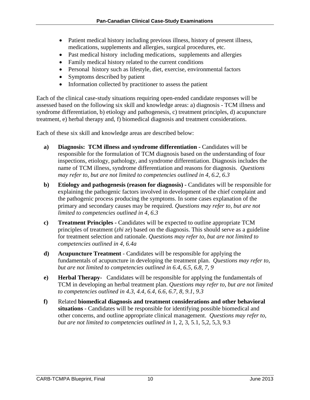- Patient medical history including previous illness, history of present illness, medications, supplements and allergies, surgical procedures, etc.
- Past medical history including medications, supplements and allergies
- Family medical history related to the current conditions
- Personal history such as lifestyle, diet, exercise, environmental factors
- Symptoms described by patient
- Information collected by practitioner to assess the patient

Each of the clinical case-study situations requiring open-ended candidate responses will be assessed based on the following six skill and knowledge areas: a) diagnosis - TCM illness and syndrome differentiation, b) etiology and pathogenesis, c) treatment principles, d) acupuncture treatment, e) herbal therapy and, f) biomedical diagnosis and treatment considerations.

Each of these six skill and knowledge areas are described below:

- **a) Diagnosis: TCM illness and syndrome differentiation -** Candidates will be responsible for the formulation of TCM diagnosis based on the understanding of four inspections, etiology, pathology, and syndrome differentiation. Diagnosis includes the name of TCM illness, syndrome differentiation and reasons for diagnosis. *Questions may refer to, but are not limited to competencies outlined in 4, 6.2, 6.3*
- **b) Etiology and pathogenesis (reason for diagnosis) -** Candidates will be responsible for explaining the pathogenic factors involved in development of the chief complaint and the pathogenic process producing the symptoms. In some cases explanation of the primary and secondary causes may be required. *Questions may refer to, but are not limited to competencies outlined in 4, 6.3*
- **c) Treatment Principles -** Candidates will be expected to outline appropriate TCM principles of treatment (*zhi ze*) based on the diagnosis. This should serve as a guideline for treatment selection and rationale. *Questions may refer to, but are not limited to competencies outlined in 4, 6.4a*
- **d) Acupuncture Treatment** Candidates will be responsible for applying the fundamentals of acupuncture in developing the treatment plan. *Questions may refer to, but are not limited to competencies outlined in 6.4, 6.5, 6.8, 7, 9*
- **e) Herbal Therapy-** Candidates will be responsible for applying the fundamentals of TCM in developing an herbal treatment plan. *Questions may refer to, but are not limited to competencies outlined in 4.3, 4.4, 6.4, 6.6, 6.7, 8, 9.1, 9.3*
- **f)** Related **biomedical diagnosis and treatment considerations and other behavioral situations** - Candidates will be responsible for identifying possible biomedical and other concerns, and outline appropriate clinical management. *Questions may refer to, but are not limited to competencies outlined in* 1, 2, 3, 5.1, 5,2, 5,3, 9.3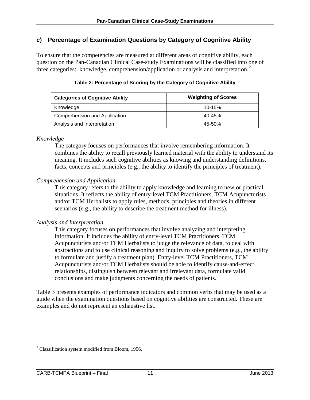## <span id="page-14-0"></span>**c) Percentage of Examination Questions by Category of Cognitive Ability**

To ensure that the competencies are measured at different areas of cognitive ability, each question on the Pan-Canadian Clinical Case-study Examinations will be classified into one of three categories: knowledge, comprehension/application or analysis and interpretation.<sup>[2](#page-14-1)</sup>

| <b>Categories of Cognitive Ability</b> | <b>Weighting of Scores</b> |
|----------------------------------------|----------------------------|
| Knowledge                              | $10 - 15%$                 |
| Comprehension and Application          | 40-45%                     |
| Analysis and Interpretation            | 45-50%                     |

#### **Table 2: Percentage of Scoring by the Category of Cognitive Ability**

#### *Knowledge*

The category focuses on performances that involve remembering information. It combines the ability to recall previously learned material with the ability to understand its meaning. It includes such cognitive abilities as knowing and understanding definitions, facts, concepts and principles (e.g., the ability to identify the principles of treatment).

#### *Comprehension and Application*

This category refers to the ability to apply knowledge and learning to new or practical situations. It reflects the ability of entry-level TCM Practitioners, TCM Acupuncturists and/or TCM Herbalists to apply rules, methods, principles and theories in different scenarios (e.g., the ability to describe the treatment method for illness).

#### *Analysis and Interpretation*

This category focuses on performances that involve analyzing and interpreting information. It includes the ability of entry-level TCM Practitioners, TCM Acupuncturists and/or TCM Herbalists to judge the relevance of data, to deal with abstractions and to use clinical reasoning and inquiry to solve problems (e.g., the ability to formulate and justify a treatment plan). Entry-level TCM Practitioners, TCM Acupuncturists and/or TCM Herbalists should be able to identify cause-and-effect relationships, distinguish between relevant and irrelevant data, formulate valid conclusions and make judgments concerning the needs of patients.

Table 3 presents examples of performance indicators and common verbs that may be used as a guide when the examination questions based on cognitive abilities are constructed. These are examples and do not represent an exhaustive list.

 $\overline{a}$ 

<span id="page-14-1"></span><sup>&</sup>lt;sup>2</sup> Classification system modified from Bloom, 1956.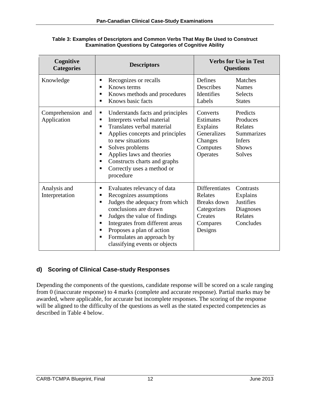| Cognitive<br><b>Categories</b>   | <b>Descriptors</b>                                                                                                                                                                                                                                                                                       | <b>Verbs for Use in Test</b><br><b>Questions</b>                                                                                                                            |  |  |
|----------------------------------|----------------------------------------------------------------------------------------------------------------------------------------------------------------------------------------------------------------------------------------------------------------------------------------------------------|-----------------------------------------------------------------------------------------------------------------------------------------------------------------------------|--|--|
| Knowledge                        | Recognizes or recalls<br>п<br>Knows terms<br>■<br>Knows methods and procedures<br>Knows basic facts<br>٠                                                                                                                                                                                                 | Defines<br>Matches<br>Describes<br><b>Names</b><br>Identifies<br><b>Selects</b><br>Labels<br><b>States</b>                                                                  |  |  |
| Comprehension and<br>Application | Understands facts and principles<br>п<br>Interprets verbal material<br>п<br>Translates verbal material<br>п<br>Applies concepts and principles<br>to new situations<br>Solves problems<br>п<br>Applies laws and theories<br>Constructs charts and graphs<br>Correctly uses a method or<br>п<br>procedure | Predicts<br>Converts<br>Estimates<br>Produces<br>Explains<br>Relates<br>Generalizes<br>Summarizes<br>Infers<br>Changes<br><b>Shows</b><br>Computes<br>Operates<br>Solves    |  |  |
| Analysis and<br>Interpretation   | Evaluates relevancy of data<br>п<br>Recognizes assumptions<br>■<br>Judges the adequacy from which<br>■<br>conclusions are drawn<br>Judges the value of findings<br>Integrates from different areas<br>Proposes a plan of action<br>п<br>Formulates an approach by<br>п<br>classifying events or objects  | Differentiates<br>Contrasts<br>Relates<br>Explains<br><b>Justifies</b><br>Breaks down<br>Categorizes<br>Diagnoses<br>Relates<br>Creates<br>Concludes<br>Compares<br>Designs |  |  |

#### **Table 3: Examples of Descriptors and Common Verbs That May Be Used to Construct Examination Questions by Categories of Cognitive Ability**

## <span id="page-15-0"></span>**d) Scoring of Clinical Case-study Responses**

Depending the components of the questions, candidate response will be scored on a scale ranging from 0 (inaccurate response) to 4 marks (complete and accurate response). Partial marks may be awarded, where applicable, for accurate but incomplete responses. The scoring of the response will be aligned to the difficulty of the questions as well as the stated expected competencies as described in Table 4 below.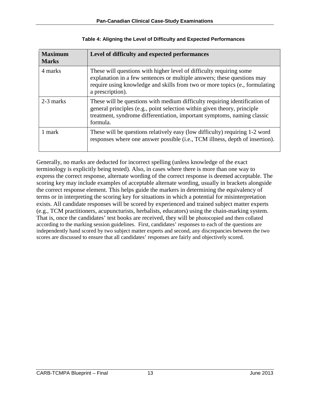| <b>Maximum</b><br><b>Marks</b> | Level of difficulty and expected performances                                                                                                                                                                                                     |
|--------------------------------|---------------------------------------------------------------------------------------------------------------------------------------------------------------------------------------------------------------------------------------------------|
| 4 marks                        | These will questions with higher level of difficulty requiring some<br>explanation in a few sentences or multiple answers; these questions may<br>require using knowledge and skills from two or more topics (e., formulating<br>a prescription). |
| 2-3 marks                      | These will be questions with medium difficulty requiring identification of<br>general principles (e.g., point selection within given theory, principle<br>treatment, syndrome differentiation, important symptoms, naming classic<br>formula.     |
| 1 mark                         | These will be questions relatively easy (low difficulty) requiring 1-2 word<br>responses where one answer possible (i.e., TCM illness, depth of insertion).                                                                                       |

Generally, no marks are deducted for incorrect spelling (unless knowledge of the exact terminology is explicitly being tested). Also, in cases where there is more than one way to express the correct response, alternate wording of the correct response is deemed acceptable. The scoring key may include examples of acceptable alternate wording, usually in brackets alongside the correct response element. This helps guide the markers in determining the equivalency of terms or in interpreting the scoring key for situations in which a potential for misinterpretation exists. All candidate responses will be scored by experienced and trained subject matter experts (e.g., TCM practitioners, acupuncturists, herbalists, educators) using the chain-marking system. That is, once the candidates' test books are received, they will be photocopied and then collated according to the marking session guidelines. First, candidates' responses to each of the questions are independently hand scored by two subject matter experts and second, any discrepancies between the two scores are discussed to ensure that all candidates' responses are fairly and objectively scored.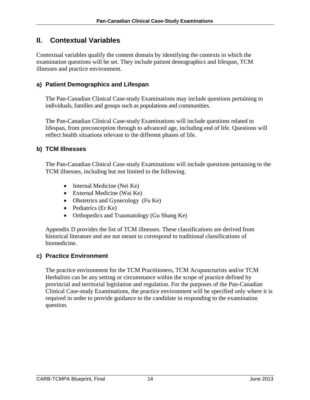## <span id="page-17-0"></span>**II. Contextual Variables**

Contextual variables qualify the content domain by identifying the contexts in which the examination questions will be set. They include patient demographics and lifespan, TCM illnesses and practice environment.

## <span id="page-17-1"></span>**a) Patient Demographics and Lifespan**

The Pan-Canadian Clinical Case-study Examinations may include questions pertaining to individuals, families and groups such as populations and communities.

The Pan-Canadian Clinical Case-study Examinations will include questions related to lifespan, from preconception through to advanced age, including end of life. Questions will reflect health situations relevant to the different phases of life.

## <span id="page-17-2"></span>**b) TCM Illnesses**

The Pan-Canadian Clinical Case-study Examinations will include questions pertaining to the TCM illnesses, including but not limited to the following.

- Internal Medicine (Nei Ke)
- External Medicine (Wai Ke)
- Obstetrics and Gynecology (Fu Ke)
- Pediatrics (Er Ke)
- Orthopedics and Traumatology (Gu Shang Ke)

Appendix D provides the list of TCM illnesses. These classifications are derived from historical literature and are not meant to correspond to traditional classifications of biomedicine.

## <span id="page-17-3"></span>**c) Practice Environment**

The practice environment for the TCM Practitioners, TCM Acupuncturists and/or TCM Herbalists can be any setting or circumstance within the scope of practice defined by provincial and territorial legislation and regulation. For the purposes of the Pan-Canadian Clinical Case-study Examinations, the practice environment will be specified only where it is required in order to provide guidance to the candidate in responding to the examination question.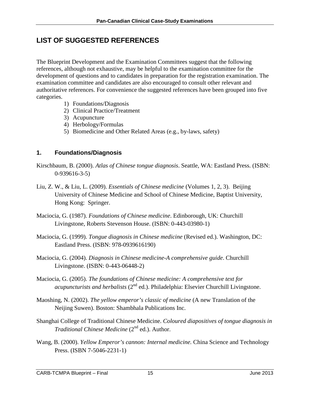## <span id="page-18-0"></span>**LIST OF SUGGESTED REFERENCES**

The Blueprint Development and the Examination Committees suggest that the following references, although not exhaustive, may be helpful to the examination committee for the development of questions and to candidates in preparation for the registration examination. The examination committee and candidates are also encouraged to consult other relevant and authoritative references. For convenience the suggested references have been grouped into five categories.

- 1) Foundations/Diagnosis
- 2) Clinical Practice/Treatment
- 3) Acupuncture
- 4) Herbology/Formulas
- 5) Biomedicine and Other Related Areas (e.g., by-laws, safety)

## **1. Foundations/Diagnosis**

- Kirschbaum, B. (2000). *Atlas of Chinese tongue diagnosis*. Seattle, WA: Eastland Press. (ISBN: 0-939616-3-5)
- Liu, Z. W., & Liu, L. (2009). *Essentials of Chinese medicine* (Volumes 1, 2, 3). Beijing University of Chinese Medicine and School of Chinese Medicine, Baptist University, Hong Kong: Springer.
- Maciocia, G. (1987). *Foundations of Chinese medicine*. Edinborough, UK: Churchill Livingstone, Roberts Stevenson House. (ISBN: 0-443-03980-1)
- Maciocia, G. (1999). *Tongue diagnosis in Chinese medicine* (Revised ed.). Washington, DC: Eastland Press. (ISBN: 978-0939616190)
- Maciocia, G. (2004). *Diagnosis in Chinese medicine-A comprehensive guide*. Churchill Livingstone. (ISBN: 0-443-06448-2)
- Maciocia, G. (2005). *The foundations of Chinese medicine: A comprehensive text for acupuncturists and herbalists* (2<sup>nd</sup> ed.). Philadelphia: Elsevier Churchill Livingstone.
- Maoshing, N. (2002). *The yellow emperor's classic of medicine* (A new Translation of the Neijing Suwen). Boston: Shambhala Publications Inc.
- Shanghai College of Traditional Chinese Medicine. *Coloured diapositives of tongue diagnosis in Traditional Chinese Medicine* (2<sup>nd</sup> ed.). Author.
- Wang, B. (2000). *Yellow Emperor's cannon: Internal medicine.* China Science and Technology Press. (ISBN 7-5046-2231-1)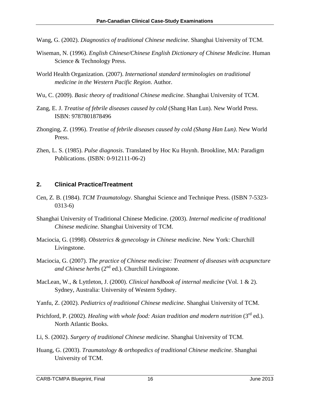- Wang, G. (2002). *Diagnostics of traditional Chinese medicine*. Shanghai University of TCM.
- Wiseman, N. (1996). *English Chinese/Chinese English Dictionary of Chinese Medicine.* Human Science & Technology Press.
- World Health Organization. (2007). *International standard terminologies on traditional medicine in the Western Pacific Region*. Author.
- Wu, C. (2009). *Basic theory of traditional Chinese medicine*. Shanghai University of TCM.
- Zang, E. J. *Treatise of febrile diseases caused by cold* (Shang Han Lun). New World Press. ISBN: 9787801878496
- Zhonging, Z. (1996). *Treatise of febrile diseases caused by cold (Shang Han Lun)*. New World Press.
- Zhen, L. S. (1985). *Pulse diagnosis*. Translated by Hoc Ku Huynh. Brookline, MA: Paradigm Publications. (ISBN: 0-912111-06-2)

#### **2. Clinical Practice/Treatment**

- Cen, Z. B. (1984). *TCM Traumatology*. Shanghai Science and Technique Press. (ISBN 7-5323- 0313-6)
- Shanghai University of Traditional Chinese Medicine. (2003). *Internal medicine of traditional Chinese medicine*. Shanghai University of TCM.
- Maciocia, G. (1998). *Obstetrics & gynecology in Chinese medicine*. New York: Churchill Livingstone.
- Maciocia, G. (2007). *The practice of Chinese medicine: Treatment of diseases with acupuncture*  and Chinese herbs  $(2^{nd}$  ed.). Churchill Livingstone.
- MacLean, W., & Lyttleton, J. (2000). *Clinical handbook of internal medicine* (Vol. 1 & 2). Sydney, Australia: University of Western Sydney.
- Yanfu, Z. (2002). *Pediatrics of traditional Chinese medicine*. Shanghai University of TCM.
- Prichford, P. (2002). *Healing with whole food: Asian tradition and modern nutrition* (3<sup>rd</sup> ed.). North Atlantic Books.
- Li, S. (2002). *Surgery of traditional Chinese medicine*. Shanghai University of TCM.
- Huang, G. (2003). *Traumatology & orthopedics of traditional Chinese medicine*. Shanghai University of TCM.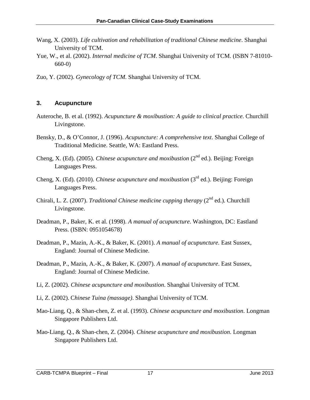- Wang, X. (2003). *Life cultivation and rehabilitation of traditional Chinese medicine*. Shanghai University of TCM.
- Yue, W., et al. (2002). *Internal medicine of TCM*. Shanghai University of TCM. (ISBN 7-81010- 660-0)
- Zuo, Y. (2002). *Gynecology of TCM*. Shanghai University of TCM.

## **3. Acupuncture**

- Auteroche, B. et al. (1992). *Acupuncture & moxibustion: A guide to clinical practice*. Churchill Livingstone.
- Bensky, D., & O'Connor, J. (1996). *Acupuncture: A comprehensive text*. Shanghai College of Traditional Medicine. Seattle, WA: Eastland Press.
- Cheng, X. (Ed). (2005). *Chinese acupuncture and moxibustion* (2<sup>nd</sup> ed.). Beijing: Foreign Languages Press.
- Cheng, X. (Ed). (2010). *Chinese acupuncture and moxibustion* (3rd ed.). Beijing: Foreign Languages Press.
- Chirali, L. Z. (2007). *Traditional Chinese medicine cupping therapy* (2<sup>nd</sup> ed.). Churchill Livingstone.
- Deadman, P., Baker, K. et al. (1998). *A manual of acupuncture*. Washington, DC: Eastland Press. (ISBN: 0951054678)
- Deadman, P., Mazin, A.-K., & Baker, K. (2001). *A manual of acupuncture.* East Sussex, England: Journal of Chinese Medicine.
- Deadman, P., Mazin, A.-K., & Baker, K. (2007). *A manual of acupuncture*. East Sussex, England: Journal of Chinese Medicine.
- Li, Z. (2002). *Chinese acupuncture and moxibustion*. Shanghai University of TCM.
- Li, Z. (2002). C*hinese Tuina (massage)*. Shanghai University of TCM.
- Mao-Liang, Q., & Shan-chen, Z. et al. (1993). *Chinese acupuncture and moxibustion*. Longman Singapore Publishers Ltd.
- Mao-Liang, Q., & Shan-chen, Z. (2004). *Chinese acupuncture and moxibustion*. Longman Singapore Publishers Ltd.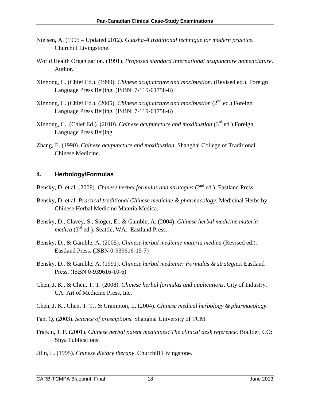- Nielsen, A. (1995 Updated 2012). *Guasha-A traditional technique for modern practice.* Churchill Livingstone.
- World Health Organization. (1991). *Proposed standard international acupuncture nomenclature*. Author.
- Xinnong, C. (Chief Ed.). (1999). *Chinese acupuncture and moxibustion*. (Revised ed.). Foreign Language Press Beijing. (ISBN: 7-119-01758-6)
- Xinnong, C. (Chief Ed.). (2005). *Chinese acupuncture and moxibustion* (2<sup>nd</sup> ed.) Foreign Language Press Beijing. (ISBN: 7-119-01758-6)
- Xinnong, C. (Chief Ed.). (2010). *Chinese acupuncture and moxibustion* (3rd ed.) Foreign Language Press Beijing.
- Zhang, E. (1990). *Chinese acupuncture and moxibustion*. Shanghai College of Traditional Chinese Medicine.

## **4. Herbology/Formulas**

- Bensky, D. et al. (2009). *Chinese herbal formulas and strategies* (2<sup>nd</sup> ed.). Eastland Press.
- Bensky, D. et al. *Practical traditional Chinese medicine & pharmacology.* Medicinal Herbs by Chinese Herbal Medicine Materia Medica.
- Bensky, D., Clavey, S., Stoger, E., & Gamble, A. (2004). *Chinese herbal medicine materia medica* (3<sup>rd</sup> ed.). Seattle, WA: Eastland Press.
- Bensky, D., & Gamble, A. (2005). *Chinese herbal medicine materia medica* (Revised ed.). Eastland Press. (ISBN 0-939616-15-7)
- Bensky, D., & Gamble, A. (1991). *Chinese herbal medicine: Formulas & strategies*. Eastland Press. (ISBN 0-939616-10-6)
- Chen, J. K., & Chen, T. T. (2008). *Chinese herbal formulas and applications*. City of Industry, CA: Art of Medicine Press, Inc.
- Chen, J. K., Chen, T. T., & Crampton, L. (2004). *Chinese medical herbology & pharmacology*.
- Fan, Q. (2003). *Science of presciptions*. Shanghai University of TCM.
- Fratkin, J. P. (2001). *Chinese herbal patent medicines: The clinical desk reference*. Boulder, CO: Shya Publications.
- Jilin, L. (1995). *Chinese dietary therapy*. Churchill Livingstone.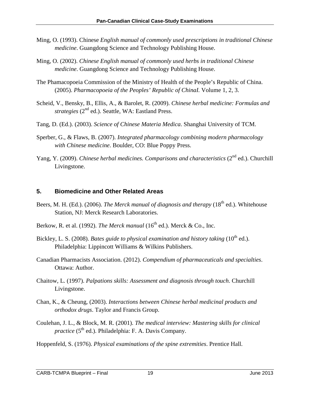- Ming, O. (1993). Chinese *English manual of commonly used prescriptions in traditional Chinese medicine*. Guangdong Science and Technology Publishing House.
- Ming, O. (2002). *Chinese English manual of commonly used herbs in traditional Chinese medicine*. Guangdong Science and Technology Publishing House.
- The Phamacopoeia Commission of the Ministry of Health of the People's Republic of China. (2005). *Pharmacopoeia of the Peoples' Republic of ChinaI.* Volume 1, 2, 3.
- Scheid, V., Bensky, B., Ellis, A., & Barolet, R. (2009). *Chinese herbal medicine: Formulas and strategies* (2nd ed.). Seattle, WA: Eastland Press.
- Tang, D. (Ed.). (2003). *Science of Chinese Materia Medica*. Shanghai University of TCM.
- Sperber, G., & Flaws, B. (2007). *Integrated pharmacology combining modern pharmacology with Chinese medicine*. Boulder, CO: Blue Poppy Press.
- Yang, Y. (2009). *Chinese herbal medicines. Comparisons and characteristics* (2<sup>nd</sup> ed.). Churchill Livingstone.

## **5. Biomedicine and Other Related Areas**

- Beers, M. H. (Ed.). (2006). *The Merck manual of diagnosis and therapy* (18<sup>th</sup> ed.). Whitehouse Station, NJ: Merck Research Laboratories.
- Berkow, R. et al. (1992). *The Merck manual* (16<sup>th</sup> ed.). Merck & Co., Inc.
- Bickley, L. S. (2008). *Bates guide to physical examination and history taking* (10<sup>th</sup> ed.). Philadelphia: Lippincott Williams & Wilkins Publishers.
- Canadian Pharmacists Association. (2012). *Compendium of pharmaceuticals and specialties*. Ottawa: Author.
- Chaitow, L. (1997). *Palpations skills: Assessment and diagnosis through touch*. Churchill Livingstone.
- Chan, K., & Cheung, (2003). *Interactions between Chinese herbal medicinal products and orthodox drugs*. Taylor and Francis Group.
- Coulehan, J. L., & Block, M. R. (2001). *The medical interview: Mastering skills for clinical practice* ( $5<sup>th</sup>$  ed.). Philadelphia: F. A. Davis Company.
- Hoppenfeld, S. (1976). *Physical examinations of the spine extremities*. Prentice Hall.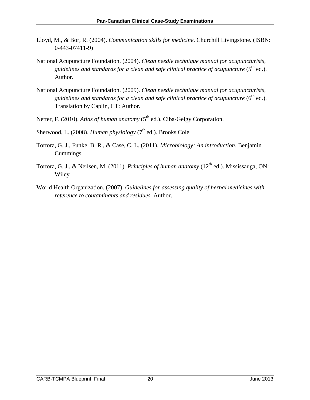- Lloyd, M., & Bor, R. (2004). *Communication skills for medicine*. Churchill Livingstone. (ISBN: 0-443-07411-9)
- National Acupuncture Foundation. (2004). *Clean needle technique manual for acupuncturists, guidelines and standards for a clean and safe clinical practice of acupuncture* (5<sup>th</sup> ed.). Author.
- National Acupuncture Foundation. (2009). *Clean needle technique manual for acupuncturists,*  guidelines and standards for a clean and safe clinical practice of acupuncture (6<sup>th</sup> ed.). Translation by Caplin, CT: Author.
- Netter, F. (2010). *Atlas of human anatomy* (5<sup>th</sup> ed.). Ciba-Geigy Corporation.
- Sherwood, L. (2008). *Human physiology* (7<sup>th</sup> ed.). Brooks Cole.
- Tortora, G. J., Funke, B. R., & Case, C. L. (2011). *Microbiology: An introduction*. Benjamin Cummings.
- Tortora, G. J., & Neilsen, M. (2011). *Principles of human anatomy* (12<sup>th</sup> ed.). Mississauga. ON: Wiley.
- World Health Organization. (2007). *Guidelines for assessing quality of herbal medicines with reference to contaminants and residues*. Author.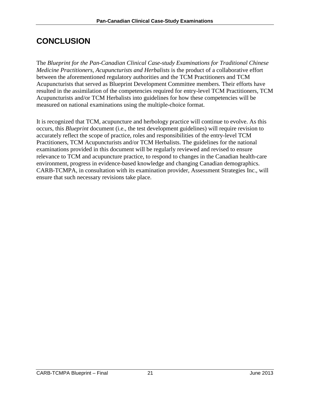# <span id="page-24-0"></span>**CONCLUSION**

The *Blueprint for the Pan-Canadian Clinical Case-study Examinations for Traditional Chinese Medicine Practitioners, Acupuncturists and Herbalists* is the product of a collaborative effort between the aforementioned regulatory authorities and the TCM Practitioners and TCM Acupuncturists that served as Blueprint Development Committee members. Their efforts have resulted in the assimilation of the competencies required for entry-level TCM Practitioners, TCM Acupuncturists and/or TCM Herbalists into guidelines for how these competencies will be measured on national examinations using the multiple-choice format.

It is recognized that TCM, acupuncture and herbology practice will continue to evolve. As this occurs, this *Blueprint* document (i.e., the test development guidelines) will require revision to accurately reflect the scope of practice, roles and responsibilities of the entry-level TCM Practitioners, TCM Acupuncturists and/or TCM Herbalists. The guidelines for the national examinations provided in this document will be regularly reviewed and revised to ensure relevance to TCM and acupuncture practice, to respond to changes in the Canadian health-care environment, progress in evidence-based knowledge and changing Canadian demographics. CARB-TCMPA, in consultation with its examination provider, Assessment Strategies Inc., will ensure that such necessary revisions take place.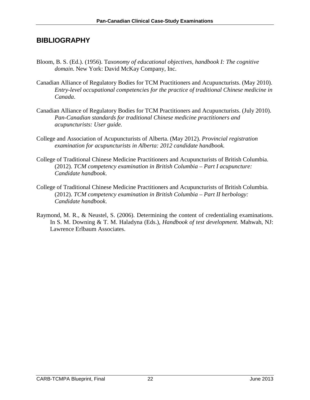## <span id="page-25-0"></span>**BIBLIOGRAPHY**

- Bloom, B. S. (Ed.). (1956). T*axonomy of educational objectives, handbook I: The cognitive domain*. New York: David McKay Company, Inc.
- Canadian Alliance of Regulatory Bodies for TCM Practitioners and Acupuncturists. (May 2010). *Entry-level occupational competencies for the practice of traditional Chinese medicine in Canada*.
- Canadian Alliance of Regulatory Bodies for TCM Practitioners and Acupuncturists. (July 2010). *Pan-Canadian standards for traditional Chinese medicine practitioners and acupuncturists: User guide.*
- College and Association of Acupuncturists of Alberta. (May 2012). *Provincial registration examination for acupuncturists in Alberta: 2012 candidate handbook.*
- College of Traditional Chinese Medicine Practitioners and Acupuncturists of British Columbia. (2012). *TCM competency examination in British Columbia – Part I acupuncture: Candidate handbook*.
- College of Traditional Chinese Medicine Practitioners and Acupuncturists of British Columbia. (2012). *TCM competency examination in British Columbia – Part II herbology: Candidate handbook*.
- Raymond, M. R., & Neustel, S. (2006). Determining the content of credentialing examinations. In S. M. Downing & T. M. Haladyna (Eds.), *Handbook of test development.* Mahwah, NJ: Lawrence Erlbaum Associates.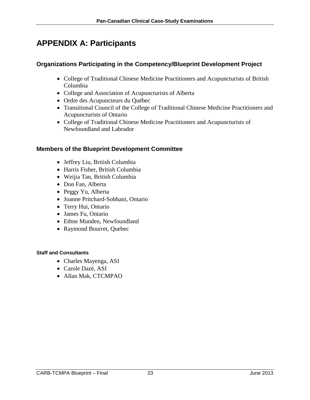# <span id="page-26-0"></span>**APPENDIX A: Participants**

## **Organizations Participating in the Competency/Blueprint Development Project**

- College of Traditional Chinese Medicine Practitioners and Acupuncturists of British Columbia
- College and Association of Acupuncturists of Alberta
- Ordre des Acupuncteurs du Québec
- Transitional Council of the College of Traditional Chinese Medicine Practitioners and Acupuncturists of Ontario
- College of Traditional Chinese Medicine Practitioners and Acupuncturists of Newfoundland and Labrador

## **Members of the Blueprint Development Committee**

- Jeffrey Liu, British Columbia
- Harris Fisher, British Columbia
- Weijia Tan, British Columbia
- Don Fan, Alberta
- Peggy Yu, Alberta
- Joanne Pritchard-Sobhani, Ontario
- Terry Hui, Ontario
- James Fu, Ontario
- Ethne Munden, Newfoundland
- Raymond Bourret, Quebec

#### **Staff and Consultants**

- Charles Mayenga, ASI
- Carole Dazé, ASI
- Allan Mak, CTCMPAO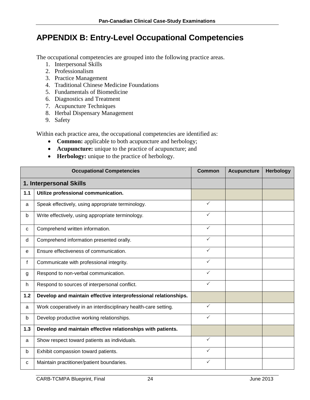# <span id="page-27-0"></span>**APPENDIX B: Entry-Level Occupational Competencies**

The occupational competencies are grouped into the following practice areas.

- 1. Interpersonal Skills
- 2. Professionalism
- 3. Practice Management
- 4. Traditional Chinese Medicine Foundations
- 5. Fundamentals of Biomedicine
- 6. Diagnostics and Treatment
- 7. Acupuncture Techniques
- 8. Herbal Dispensary Management
- 9. Safety

Within each practice area, the occupational competencies are identified as:

- **Common:** applicable to both acupuncture and herbology;
- **Acupuncture:** unique to the practice of acupuncture; and
- **Herbology:** unique to the practice of herbology.

|     | <b>Occupational Competencies</b>                                | <b>Common</b> | <b>Acupuncture</b> | Herbology |
|-----|-----------------------------------------------------------------|---------------|--------------------|-----------|
|     | 1. Interpersonal Skills                                         |               |                    |           |
| 1.1 | Utilize professional communication.                             |               |                    |           |
| a   | Speak effectively, using appropriate terminology.               | $\checkmark$  |                    |           |
| b   | Write effectively, using appropriate terminology.               | $\checkmark$  |                    |           |
| C   | Comprehend written information.                                 | $\checkmark$  |                    |           |
| d   | Comprehend information presented orally.                        | ✓             |                    |           |
| e   | Ensure effectiveness of communication.                          | ✓             |                    |           |
| f   | Communicate with professional integrity.                        | $\checkmark$  |                    |           |
| g   | Respond to non-verbal communication.                            | $\checkmark$  |                    |           |
| h.  | Respond to sources of interpersonal conflict.                   | $\checkmark$  |                    |           |
| 1.2 | Develop and maintain effective interprofessional relationships. |               |                    |           |
| a   | Work cooperatively in an interdisciplinary health-care setting. | $\checkmark$  |                    |           |
| b   | Develop productive working relationships.                       | $\checkmark$  |                    |           |
| 1.3 | Develop and maintain effective relationships with patients.     |               |                    |           |
| a   | Show respect toward patients as individuals.                    | $\checkmark$  |                    |           |
| b   | Exhibit compassion toward patients.                             | ✓             |                    |           |
| с   | Maintain practitioner/patient boundaries.                       | ✓             |                    |           |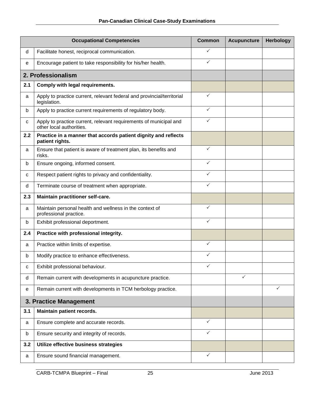|     | <b>Occupational Competencies</b>                                                              | <b>Common</b> | <b>Acupuncture</b> | <b>Herbology</b> |
|-----|-----------------------------------------------------------------------------------------------|---------------|--------------------|------------------|
| d   | Facilitate honest, reciprocal communication.                                                  | $\checkmark$  |                    |                  |
| e   | Encourage patient to take responsibility for his/her health.                                  | $\checkmark$  |                    |                  |
|     | 2. Professionalism                                                                            |               |                    |                  |
| 2.1 | Comply with legal requirements.                                                               |               |                    |                  |
| a   | Apply to practice current, relevant federal and provincial/territorial<br>legislation.        | $\checkmark$  |                    |                  |
| b   | Apply to practice current requirements of regulatory body.                                    | $\checkmark$  |                    |                  |
| c   | Apply to practice current, relevant requirements of municipal and<br>other local authorities. | $\checkmark$  |                    |                  |
| 2.2 | Practice in a manner that accords patient dignity and reflects<br>patient rights.             |               |                    |                  |
| a   | Ensure that patient is aware of treatment plan, its benefits and<br>risks.                    | ✓             |                    |                  |
| b   | Ensure ongoing, informed consent.                                                             | $\checkmark$  |                    |                  |
| С   | Respect patient rights to privacy and confidentiality.                                        | ✓             |                    |                  |
| d   | Terminate course of treatment when appropriate.                                               | ✓             |                    |                  |
| 2.3 | Maintain practitioner self-care.                                                              |               |                    |                  |
| a   | Maintain personal health and wellness in the context of<br>professional practice.             | $\checkmark$  |                    |                  |
| b   | Exhibit professional deportment.                                                              | ✓             |                    |                  |
| 2.4 | Practice with professional integrity.                                                         |               |                    |                  |
| a   | Practice within limits of expertise.                                                          | $\checkmark$  |                    |                  |
| b   | Modify practice to enhance effectiveness.                                                     | ✓             |                    |                  |
| C   | Exhibit professional behaviour.                                                               | ✓             |                    |                  |
| d   | Remain current with developments in acupuncture practice.                                     |               | $\checkmark$       |                  |
| е   | Remain current with developments in TCM herbology practice.                                   |               |                    | ✓                |
|     | 3. Practice Management                                                                        |               |                    |                  |
| 3.1 | Maintain patient records.                                                                     |               |                    |                  |
| a   | Ensure complete and accurate records.                                                         | ✓             |                    |                  |
| b   | Ensure security and integrity of records.                                                     | ✓             |                    |                  |
| 3.2 | Utilize effective business strategies                                                         |               |                    |                  |
| a   | Ensure sound financial management.                                                            | ✓             |                    |                  |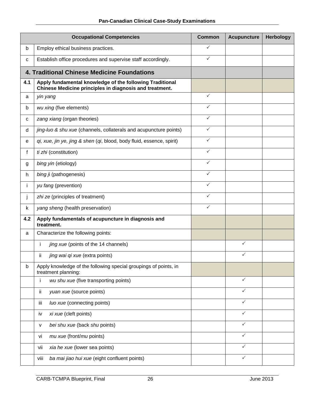|     | <b>Occupational Competencies</b>                                                                                    | <b>Common</b> | <b>Acupuncture</b> | <b>Herbology</b> |
|-----|---------------------------------------------------------------------------------------------------------------------|---------------|--------------------|------------------|
| b   | Employ ethical business practices.                                                                                  | ✓             |                    |                  |
| c   | Establish office procedures and supervise staff accordingly.                                                        | $\checkmark$  |                    |                  |
|     | 4. Traditional Chinese Medicine Foundations                                                                         |               |                    |                  |
| 4.1 | Apply fundamental knowledge of the following Traditional<br>Chinese Medicine principles in diagnosis and treatment. |               |                    |                  |
| a   | yin yang                                                                                                            | $\checkmark$  |                    |                  |
| b   | wu xing (five elements)                                                                                             | ✓             |                    |                  |
| c   | zang xiang (organ theories)                                                                                         | ✓             |                    |                  |
| d   | jing-luo & shu xue (channels, collaterals and acupuncture points)                                                   | $\checkmark$  |                    |                  |
| е   | qi, xue, jin ye, jing & shen (qi, blood, body fluid, essence, spirit)                                               | $\checkmark$  |                    |                  |
| f   | ti zhi (constitution)                                                                                               | ✓             |                    |                  |
| g   | bing yin (etiology)                                                                                                 | $\checkmark$  |                    |                  |
| h.  | bing <i>j</i> i (pathogenesis)                                                                                      | ✓             |                    |                  |
| i.  | yu fang (prevention)                                                                                                | ✓             |                    |                  |
| j   | zhi ze (principles of treatment)                                                                                    | $\checkmark$  |                    |                  |
| k   | yang sheng (health preservation)                                                                                    | $\checkmark$  |                    |                  |
| 4.2 | Apply fundamentals of acupuncture in diagnosis and<br>treatment.                                                    |               |                    |                  |
| a   | Characterize the following points:                                                                                  |               |                    |                  |
|     | i<br>jing xue (points of the 14 channels)                                                                           |               | $\checkmark$       |                  |
|     | ii<br>jing wai qi xue (extra points)                                                                                |               | $\checkmark$       |                  |
| b   | Apply knowledge of the following special groupings of points, in<br>treatment planning:                             |               |                    |                  |
|     | wu shu xue (five transporting points)                                                                               |               | $\checkmark$       |                  |
|     | yuan xue (source points)<br>ij.                                                                                     |               | $\checkmark$       |                  |
|     | luo xue (connecting points)<br>iii                                                                                  |               | $\checkmark$       |                  |
|     | xi xue (cleft points)<br>iv                                                                                         |               | $\checkmark$       |                  |
|     | bei shu xue (back shu points)<br>v                                                                                  |               | $\checkmark$       |                  |
|     | mu xue (front/mu points)<br>vi                                                                                      |               | $\checkmark$       |                  |
|     | xia he xue (lower sea points)<br>vii                                                                                |               | $\checkmark$       |                  |
|     | ba mai jiao hui xue (eight confluent points)<br>viii                                                                |               | $\checkmark$       |                  |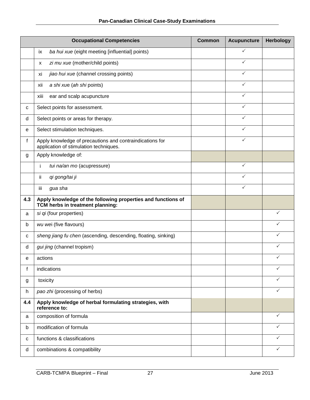|     | <b>Occupational Competencies</b>                                                                   | <b>Common</b> | <b>Acupuncture</b> | <b>Herbology</b> |
|-----|----------------------------------------------------------------------------------------------------|---------------|--------------------|------------------|
|     | ba hui xue (eight meeting [influential] points)<br>ix                                              |               | ✓                  |                  |
|     | zi mu xue (mother/child points)<br>X                                                               |               | $\checkmark$       |                  |
|     | jiao hui xue (channel crossing points)<br>xi                                                       |               | $\checkmark$       |                  |
|     | a shi xue (ah shi points)<br>xii                                                                   |               | ✓                  |                  |
|     | ear and scalp acupuncture<br>xiii                                                                  |               | ✓                  |                  |
| c   | Select points for assessment.                                                                      |               | $\checkmark$       |                  |
| d   | Select points or areas for therapy.                                                                |               | ✓                  |                  |
| е   | Select stimulation techniques.                                                                     |               | $\checkmark$       |                  |
| f   | Apply knowledge of precautions and contraindications for<br>application of stimulation techniques. |               | $\checkmark$       |                  |
| g   | Apply knowledge of:                                                                                |               |                    |                  |
|     | i<br>tui na/an mo (acupressure)                                                                    |               | $\checkmark$       |                  |
|     | ii<br>qi gong/tai ji                                                                               |               | $\checkmark$       |                  |
|     | iii<br>gua sha                                                                                     |               | $\checkmark$       |                  |
| 4.3 | Apply knowledge of the following properties and functions of<br>TCM herbs in treatment planning:   |               |                    |                  |
| a   | si qi (four properties)                                                                            |               |                    | $\checkmark$     |
| b   | wu wei (five flavours)                                                                             |               |                    | ✓                |
| С   | sheng jiang fu chen (ascending, descending, floating, sinking)                                     |               |                    | ✓                |
| d   | gui jing (channel tropism)                                                                         |               |                    | ✓                |
| е   | actions                                                                                            |               |                    | ✓                |
| f   | indications                                                                                        |               |                    | ✓                |
| g   | toxicity                                                                                           |               |                    | ✓                |
| h   | pao zhi (processing of herbs)                                                                      |               |                    | ✓                |
| 4.4 | Apply knowledge of herbal formulating strategies, with<br>reference to:                            |               |                    |                  |
| a   | composition of formula                                                                             |               |                    | $\checkmark$     |
| b   | modification of formula                                                                            |               |                    | ✓                |
| c   | functions & classifications                                                                        |               |                    | ✓                |
| d   | combinations & compatibility                                                                       |               |                    | $\checkmark$     |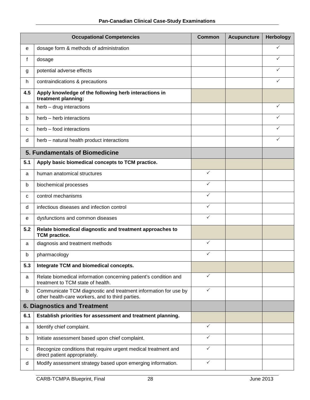|     | <b>Occupational Competencies</b>                                                                                    |              | <b>Acupuncture</b> | <b>Herbology</b> |
|-----|---------------------------------------------------------------------------------------------------------------------|--------------|--------------------|------------------|
| е   | dosage form & methods of administration                                                                             |              |                    | ✓                |
| f   | dosage                                                                                                              |              |                    | ✓                |
| g   | potential adverse effects                                                                                           |              |                    | ✓                |
| h.  | contraindications & precautions                                                                                     |              |                    | ✓                |
| 4.5 | Apply knowledge of the following herb interactions in<br>treatment planning:                                        |              |                    |                  |
| a   | herb - drug interactions                                                                                            |              |                    | $\checkmark$     |
| b   | herb - herb interactions                                                                                            |              |                    | ✓                |
| c   | herb – food interactions                                                                                            |              |                    | ✓                |
| d   | herb - natural health product interactions                                                                          |              |                    | ✓                |
|     | 5. Fundamentals of Biomedicine                                                                                      |              |                    |                  |
| 5.1 | Apply basic biomedical concepts to TCM practice.                                                                    |              |                    |                  |
| a   | human anatomical structures                                                                                         | $\checkmark$ |                    |                  |
| b   | biochemical processes                                                                                               | ✓            |                    |                  |
| C   | control mechanisms                                                                                                  | $\checkmark$ |                    |                  |
| d   | infectious diseases and infection control                                                                           | ✓            |                    |                  |
| е   | dysfunctions and common diseases                                                                                    | ✓            |                    |                  |
| 5.2 | Relate biomedical diagnostic and treatment approaches to<br><b>TCM</b> practice.                                    |              |                    |                  |
| a   | diagnosis and treatment methods                                                                                     | $\checkmark$ |                    |                  |
| b   | pharmacology                                                                                                        | ✓            |                    |                  |
| 5.3 | Integrate TCM and biomedical concepts.                                                                              |              |                    |                  |
| a   | Relate biomedical information concerning patient's condition and<br>treatment to TCM state of health.               | $\checkmark$ |                    |                  |
| b   | Communicate TCM diagnostic and treatment information for use by<br>other health-care workers, and to third parties. | ✓            |                    |                  |
|     | <b>6. Diagnostics and Treatment</b>                                                                                 |              |                    |                  |
| 6.1 | Establish priorities for assessment and treatment planning.                                                         |              |                    |                  |
| a   | Identify chief complaint.                                                                                           | $\checkmark$ |                    |                  |
| b   | Initiate assessment based upon chief complaint.                                                                     | $\checkmark$ |                    |                  |
| с   | Recognize conditions that require urgent medical treatment and<br>direct patient appropriately.                     | ✓            |                    |                  |
| d   | Modify assessment strategy based upon emerging information.                                                         | ✓            |                    |                  |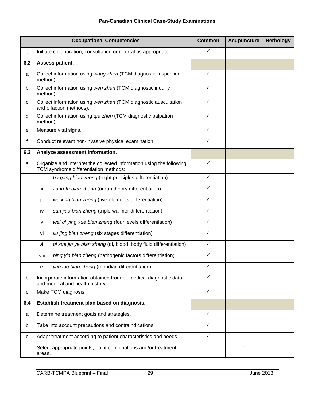|     | <b>Occupational Competencies</b>                                                                              |              | <b>Acupuncture</b> | <b>Herbology</b> |
|-----|---------------------------------------------------------------------------------------------------------------|--------------|--------------------|------------------|
| е   | Initiate collaboration, consultation or referral as appropriate.                                              | ✓            |                    |                  |
| 6.2 | Assess patient.                                                                                               |              |                    |                  |
| a   | Collect information using wang zhen (TCM diagnostic inspection<br>method).                                    | $\checkmark$ |                    |                  |
| b   | Collect information using wen zhen (TCM diagnostic inquiry<br>method).                                        | $\checkmark$ |                    |                  |
| C   | ✓<br>Collect information using wen zhen (TCM diagnostic auscultation<br>and olfaction methods).               |              |                    |                  |
| d   | Collect information using qie zhen (TCM diagnostic palpation<br>method).                                      | $\checkmark$ |                    |                  |
| e   | Measure vital signs.                                                                                          |              |                    |                  |
| f   | Conduct relevant non-invasive physical examination.                                                           | $\checkmark$ |                    |                  |
| 6.3 | Analyze assessment information.                                                                               |              |                    |                  |
| a   | Organize and interpret the collected information using the following<br>TCM syndrome differentiation methods: | $\checkmark$ |                    |                  |
|     | ba gang bian zheng (eight principles differentiation)<br>Ť                                                    | $\checkmark$ |                    |                  |
|     | zang-fu bian zheng (organ theory differentiation)<br>ij.                                                      | $\checkmark$ |                    |                  |
|     | iii<br>wu xing bian zheng (five elements differentiation)                                                     | $\checkmark$ |                    |                  |
|     | san jiao bian zheng (triple warmer differentiation)<br>iv                                                     | $\checkmark$ |                    |                  |
|     | wei qi ying xue bian zheng (four levels differentiation)<br>v                                                 | $\checkmark$ |                    |                  |
|     | liu jing bian zheng (six stages differentiation)<br>vi                                                        | ✓            |                    |                  |
|     | qi xue jin ye bian zheng (qi, blood, body fluid differentiation)<br>vii                                       | $\checkmark$ |                    |                  |
|     | bing yin bian zheng (pathogenic factors differentiation)<br>viii                                              | $\checkmark$ |                    |                  |
|     | jing luo bian zheng (meridian differentiation)<br>ix                                                          | $\checkmark$ |                    |                  |
| b   | Incorporate information obtained from biomedical diagnostic data<br>and medical and health history.           | $\checkmark$ |                    |                  |
| С   | Make TCM diagnosis.                                                                                           | $\checkmark$ |                    |                  |
| 6.4 | Establish treatment plan based on diagnosis.                                                                  |              |                    |                  |
| a   | Determine treatment goals and strategies.                                                                     | $\checkmark$ |                    |                  |
| b   | Take into account precautions and contraindications.                                                          | $\checkmark$ |                    |                  |
| с   | Adapt treatment according to patient characteristics and needs.                                               | $\checkmark$ |                    |                  |
| d   | Select appropriate points, point combinations and/or treatment<br>areas.                                      |              | ✓                  |                  |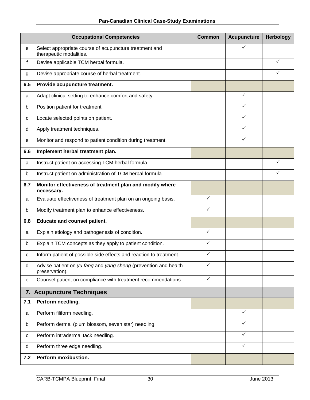|     | <b>Occupational Competencies</b>                                                  |              | <b>Acupuncture</b> | <b>Herbology</b> |
|-----|-----------------------------------------------------------------------------------|--------------|--------------------|------------------|
| е   | Select appropriate course of acupuncture treatment and<br>therapeutic modalities. |              | ✓                  |                  |
| f   | Devise applicable TCM herbal formula.                                             |              |                    | ✓                |
| g   | Devise appropriate course of herbal treatment.                                    |              |                    | ✓                |
| 6.5 | Provide acupuncture treatment.                                                    |              |                    |                  |
| a   | Adapt clinical setting to enhance comfort and safety.                             |              | $\checkmark$       |                  |
| b   | Position patient for treatment.                                                   |              | $\checkmark$       |                  |
| с   | Locate selected points on patient.                                                |              | $\checkmark$       |                  |
| d   | Apply treatment techniques.                                                       |              | $\checkmark$       |                  |
| е   | Monitor and respond to patient condition during treatment.                        |              | ✓                  |                  |
| 6.6 | Implement herbal treatment plan.                                                  |              |                    |                  |
| a   | Instruct patient on accessing TCM herbal formula.                                 |              |                    | ✓                |
| b   | Instruct patient on administration of TCM herbal formula.                         |              |                    | ✓                |
| 6.7 | Monitor effectiveness of treatment plan and modify where<br>necessary.            |              |                    |                  |
| a   | Evaluate effectiveness of treatment plan on an ongoing basis.                     | $\checkmark$ |                    |                  |
| b   | Modify treatment plan to enhance effectiveness.                                   | ✓            |                    |                  |
| 6.8 | <b>Educate and counsel patient.</b>                                               |              |                    |                  |
| a   | Explain etiology and pathogenesis of condition.                                   | $\checkmark$ |                    |                  |
| b   | Explain TCM concepts as they apply to patient condition.                          | ✓            |                    |                  |
| с   | Inform patient of possible side effects and reaction to treatment.                | ✓            |                    |                  |
| d   | Advise patient on yu fang and yang sheng (prevention and health<br>preservation). | ✓            |                    |                  |
| е   | Counsel patient on compliance with treatment recommendations.                     | $\checkmark$ |                    |                  |
|     | 7. Acupuncture Techniques                                                         |              |                    |                  |
| 7.1 | Perform needling.                                                                 |              |                    |                  |
| a   | Perform filiform needling.                                                        |              | $\checkmark$       |                  |
| b   | Perform dermal (plum blossom, seven star) needling.                               |              | $\checkmark$       |                  |
| С   | Perform intradermal tack needling.                                                |              | $\checkmark$       |                  |
| d   | Perform three edge needling.                                                      |              | $\checkmark$       |                  |
| 7.2 | Perform moxibustion.                                                              |              |                    |                  |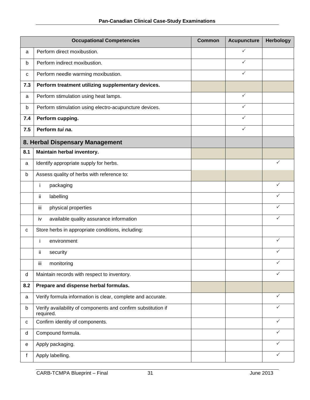|     | <b>Occupational Competencies</b>                                           |  | <b>Acupuncture</b> | Herbology    |
|-----|----------------------------------------------------------------------------|--|--------------------|--------------|
| a   | Perform direct moxibustion.                                                |  | ✓                  |              |
| b   | Perform indirect moxibustion.                                              |  | ✓                  |              |
| c   | Perform needle warming moxibustion.                                        |  | $\checkmark$       |              |
| 7.3 | Perform treatment utilizing supplementary devices.                         |  |                    |              |
| a   | Perform stimulation using heat lamps.                                      |  | $\checkmark$       |              |
| b   | Perform stimulation using electro-acupuncture devices.                     |  | $\checkmark$       |              |
| 7.4 | Perform cupping.                                                           |  | ✓                  |              |
| 7.5 | Perform tui na.                                                            |  | $\checkmark$       |              |
|     | 8. Herbal Dispensary Management                                            |  |                    |              |
| 8.1 | Maintain herbal inventory.                                                 |  |                    |              |
| a   | Identify appropriate supply for herbs.                                     |  |                    | $\checkmark$ |
| b   | Assess quality of herbs with reference to:                                 |  |                    |              |
|     | packaging<br>j.                                                            |  |                    | ✓            |
|     | ij<br>labelling                                                            |  |                    |              |
|     | iii<br>physical properties                                                 |  |                    | ✓            |
|     | available quality assurance information<br>iv                              |  |                    | ✓            |
| с   | Store herbs in appropriate conditions, including:                          |  |                    |              |
|     | İ<br>environment                                                           |  |                    | $\checkmark$ |
|     | ij<br>security                                                             |  |                    |              |
|     | Ϊİ<br>monitoring                                                           |  |                    |              |
| d   | Maintain records with respect to inventory.                                |  |                    | ✓            |
| 8.2 | Prepare and dispense herbal formulas.                                      |  |                    |              |
| a   | Verify formula information is clear, complete and accurate.                |  |                    | $\checkmark$ |
| b   | Verify availability of components and confirm substitution if<br>required. |  |                    | ✓            |
| C   | Confirm identity of components.                                            |  |                    | ✓            |
| d   | Compound formula.                                                          |  |                    | $\checkmark$ |
| е   | Apply packaging.                                                           |  |                    | ✓            |
| f   | Apply labelling.                                                           |  |                    | ✓            |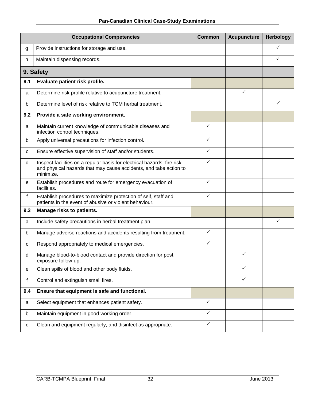|                                  | <b>Occupational Competencies</b>                                                                                                                          | <b>Common</b> | <b>Acupuncture</b> | <b>Herbology</b> |
|----------------------------------|-----------------------------------------------------------------------------------------------------------------------------------------------------------|---------------|--------------------|------------------|
| g                                | Provide instructions for storage and use.                                                                                                                 |               |                    |                  |
| h.                               | Maintain dispensing records.                                                                                                                              |               |                    | ✓                |
|                                  | 9. Safety                                                                                                                                                 |               |                    |                  |
| 9.1                              | Evaluate patient risk profile.                                                                                                                            |               |                    |                  |
| a                                | Determine risk profile relative to acupuncture treatment.                                                                                                 |               | $\checkmark$       |                  |
| b                                | Determine level of risk relative to TCM herbal treatment.                                                                                                 |               |                    | ✓                |
| 9.2                              | Provide a safe working environment.                                                                                                                       |               |                    |                  |
| a                                | Maintain current knowledge of communicable diseases and<br>infection control techniques.                                                                  | $\checkmark$  |                    |                  |
| b                                | Apply universal precautions for infection control.                                                                                                        | $\checkmark$  |                    |                  |
| c                                | Ensure effective supervision of staff and/or students.                                                                                                    | ✓             |                    |                  |
| d                                | Inspect facilities on a regular basis for electrical hazards, fire risk<br>and physical hazards that may cause accidents, and take action to<br>minimize. | $\checkmark$  |                    |                  |
| е                                | Establish procedures and route for emergency evacuation of<br>facilities.                                                                                 | ✓             |                    |                  |
| f                                | Establish procedures to maximize protection of self, staff and<br>patients in the event of abusive or violent behaviour.                                  | $\checkmark$  |                    |                  |
| 9.3<br>Manage risks to patients. |                                                                                                                                                           |               |                    |                  |
| a                                | Include safety precautions in herbal treatment plan.                                                                                                      |               |                    | ✓                |
| b                                | Manage adverse reactions and accidents resulting from treatment.                                                                                          | $\checkmark$  |                    |                  |
| c                                | Respond appropriately to medical emergencies.                                                                                                             | $\checkmark$  |                    |                  |
| d                                | Manage blood-to-blood contact and provide direction for post<br>exposure follow-up.                                                                       |               | ✓                  |                  |
| е                                | Clean spills of blood and other body fluids.                                                                                                              |               | $\checkmark$       |                  |
| f                                | Control and extinguish small fires.                                                                                                                       |               | $\checkmark$       |                  |
| 9.4                              | Ensure that equipment is safe and functional.                                                                                                             |               |                    |                  |
| a                                | Select equipment that enhances patient safety.                                                                                                            | $\checkmark$  |                    |                  |
| b                                | Maintain equipment in good working order.                                                                                                                 | $\checkmark$  |                    |                  |
| с                                | Clean and equipment regularly, and disinfect as appropriate.                                                                                              | ✓             |                    |                  |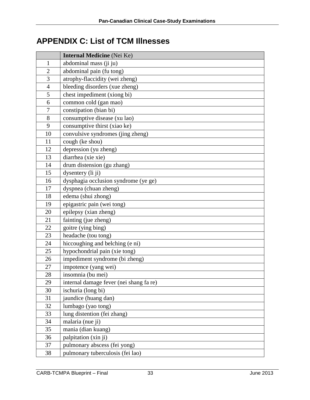# <span id="page-36-0"></span>**APPENDIX C: List of TCM Illnesses**

|                | <b>Internal Medicine</b> (Nei Ke)       |
|----------------|-----------------------------------------|
| $\mathbf{1}$   | abdominal mass (ji ju)                  |
| $\overline{2}$ | abdominal pain (fu tong)                |
| 3              | atrophy-flaccidity (wei zheng)          |
| $\overline{4}$ | bleeding disorders (xue zheng)          |
| 5              | chest impediment (xiong bi)             |
| 6              | common cold (gan mao)                   |
| $\tau$         | constipation (bian bi)                  |
| 8              | consumptive disease (xu lao)            |
| 9              | consumptive thirst (xiao ke)            |
| 10             | convulsive syndromes (jing zheng)       |
| 11             | cough (ke shou)                         |
| 12             | depression (yu zheng)                   |
| 13             | diarrhea (xie xie)                      |
| 14             | drum distension (gu zhang)              |
| 15             | dysentery (li ji)                       |
| 16             | dysphagia occlusion syndrome (ye ge)    |
| 17             | dyspnea (chuan zheng)                   |
| 18             | edema (shui zhong)                      |
| 19             | epigastric pain (wei tong)              |
| 20             | epilepsy (xian zheng)                   |
| 21             | fainting (jue zheng)                    |
| 22             | goitre (ying bing)                      |
| 23             | headache (tou tong)                     |
| 24             | hiccoughing and belching (e ni)         |
| 25             | hypochondrial pain (xie tong)           |
| 26             | impediment syndrome (bi zheng)          |
| 27             | impotence (yang wei)                    |
| 28             | insomnia (bu mei)                       |
| 29             | internal damage fever (nei shang fa re) |
| 30             | ischuria (long bi)                      |
| 31             | jaundice (huang dan)                    |
| 32             | lumbago (yao tong)                      |
| 33             | lung distention (fei zhang)             |
| 34             | malaria (nue ji)                        |
| 35             | mania (dian kuang)                      |
| 36             | palpitation (xin ji)                    |
| 37             | pulmonary abscess (fei yong)            |
| 38             | pulmonary tuberculosis (fei lao)        |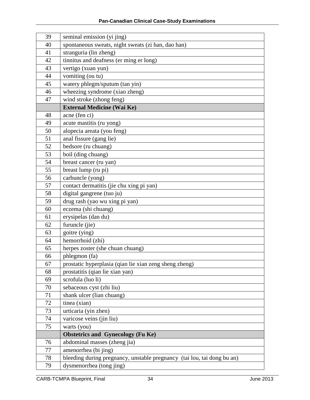| 39 | seminal emission (yi jing)                                              |
|----|-------------------------------------------------------------------------|
| 40 | spontaneous sweats, night sweats (zi han, dao han)                      |
| 41 | stranguria (lin zheng)                                                  |
| 42 | tinnitus and deafness (er ming er long)                                 |
| 43 | vertigo (xuan yun)                                                      |
| 44 | vomiting (ou tu)                                                        |
| 45 | watery phlegm/sputum (tan yin)                                          |
| 46 | wheezing syndrome (xiao zheng)                                          |
| 47 | wind stroke (zhong feng)                                                |
|    | <b>External Medicine (Wai Ke)</b>                                       |
| 48 | acne (fen ci)                                                           |
| 49 | acute mastitis (ru yong)                                                |
| 50 | alopecia areata (you feng)                                              |
| 51 | anal fissure (gang lie)                                                 |
| 52 | bedsore (ru chuang)                                                     |
| 53 | boil (ding chuang)                                                      |
| 54 | breast cancer (ru yan)                                                  |
| 55 | breast lump (ru pi)                                                     |
| 56 | carbuncle (yong)                                                        |
| 57 | contact dermatitis (jie chu xing pi yan)                                |
| 58 | digital gangrene (tuo ju)                                               |
| 59 | drug rash (yao wu xing pi yan)                                          |
| 60 | eczema (shi chuang)                                                     |
| 61 | erysipelas (dan du)                                                     |
| 62 | furuncle (jie)                                                          |
| 63 | goitre (ying)                                                           |
| 64 | hemorrhoid (zhi)                                                        |
| 65 | herpes zoster (she chuan chuang)                                        |
| 66 | phlegmon (fa)                                                           |
| 67 | prostatic hyperplasia (qian lie xian zeng sheng zheng)                  |
| 68 | prostatitis (qian lie xian yan)                                         |
| 69 | scrofula (luo li)                                                       |
| 70 | sebaceous cyst (zhi liu)                                                |
| 71 | shank ulcer (lian chuang)                                               |
| 72 | tinea (xian)                                                            |
| 73 | urticaria (yin zhen)                                                    |
| 74 | varicose veins (jin liu)                                                |
| 75 | warts (you)                                                             |
|    | <b>Obstetrics and Gynecology (Fu Ke)</b>                                |
| 76 | abdominal masses (zheng jia)                                            |
| 77 | amenorrhea (bi jing)                                                    |
| 78 | bleeding during pregnancy, unstable pregnancy (tai lou, tai dong bu an) |
| 79 | dysmenorrhea (tong jing)                                                |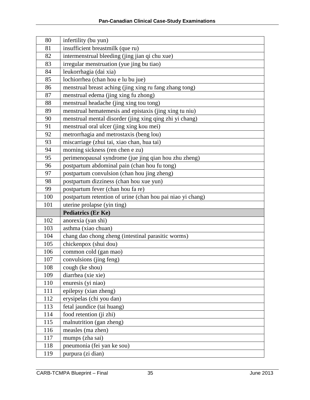| 80  | infertility (bu yun)                                       |
|-----|------------------------------------------------------------|
| 81  | insufficient breastmilk (que ru)                           |
| 82  | intermenstrual bleeding (jing jian qi chu xue)             |
| 83  | irregular menstruation (yue jing bu tiao)                  |
| 84  | leukorrhagia (dai xia)                                     |
| 85  | lochiorrhea (chan hou e lu bu jue)                         |
| 86  | menstrual breast aching (jing xing ru fang zhang tong)     |
| 87  | menstrual edema (jing xing fu zhong)                       |
| 88  | menstrual headache (jing xing tou tong)                    |
| 89  | menstrual hematemesis and epistaxis (jing xing tu niu)     |
| 90  | menstrual mental disorder (jing xing qing zhi yi chang)    |
| 91  | menstrual oral ulcer (jing xing kou mei)                   |
| 92  | metrorrhagia and metrostaxis (beng lou)                    |
| 93  | miscarriage (zhui tai, xiao chan, hua tai)                 |
| 94  | morning sickness (ren chen e zu)                           |
| 95  | perimenopausal syndrome (jue jing qian hou zhu zheng)      |
| 96  | postpartum abdominal pain (chan hou fu tong)               |
| 97  | postpartum convulsion (chan hou jing zheng)                |
| 98  | postpartum dizziness (chan hou xue yun)                    |
| 99  | postpartum fever (chan hou fa re)                          |
| 100 | postpartum retention of urine (chan hou pai niao yi chang) |
| 101 | uterine prolapse (yin ting)                                |
|     | <b>Pediatrics (Er Ke)</b>                                  |
| 102 | anorexia (yan shi)                                         |
| 103 | asthma (xiao chuan)                                        |
| 104 | chang dao chong zheng (intestinal parasitic worms)         |
| 105 | chickenpox (shui dou)                                      |
| 106 | common cold (gan mao)                                      |
| 107 | convulsions (jing feng)                                    |
| 108 | cough (ke shou)                                            |
| 109 |                                                            |
|     | diarrhea (xie xie)                                         |
| 110 | enuresis (yi niao)                                         |
| 111 | epilepsy (xian zheng)                                      |
| 112 | erysipelas (chi you dan)                                   |
| 113 | fetal jaundice (tai huang)                                 |
| 114 | food retention (ji zhi)                                    |
| 115 | malnutrition (gan zheng)                                   |
| 116 | measles (ma zhen)                                          |
| 117 | mumps (zha sai)                                            |
| 118 | pneumonia (fei yan ke sou)                                 |